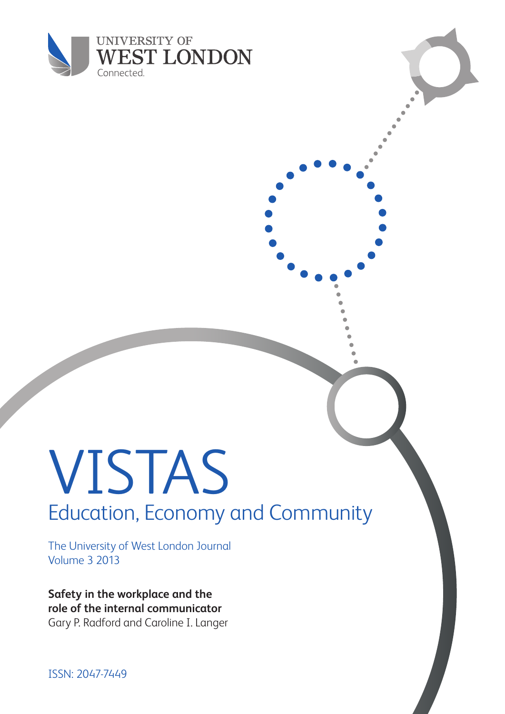

# VISTAS Education, Economy and Community

The University of West London Journal Volume 3 2013

**Safety in the workplace and the role of the internal communicator** Gary P. Radford and Caroline I. Langer

ISSN: 2047-7449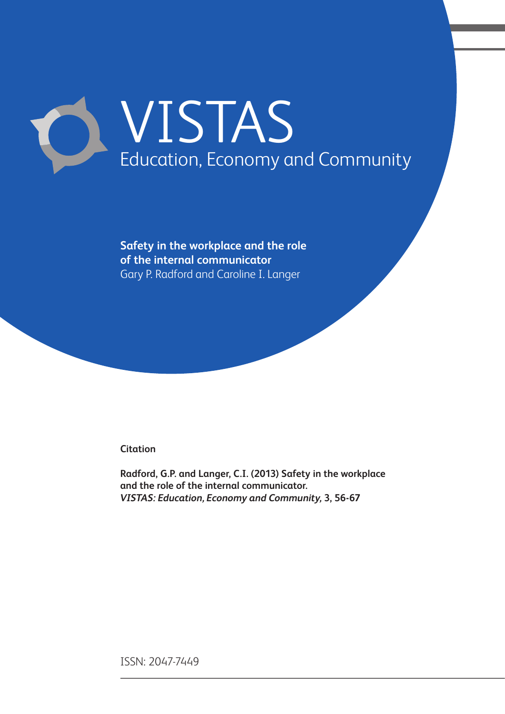

**Safety in the workplace and the role of the internal communicator** Gary P. Radford and Caroline I. Langer

**Citation**

**Radford, G.P. and Langer, C.I. (2013) Safety in the workplace and the role of the internal communicator.**  *VISTAS: Education, Economy and Community,* **3, 56-67**

ISSN: 2047-7449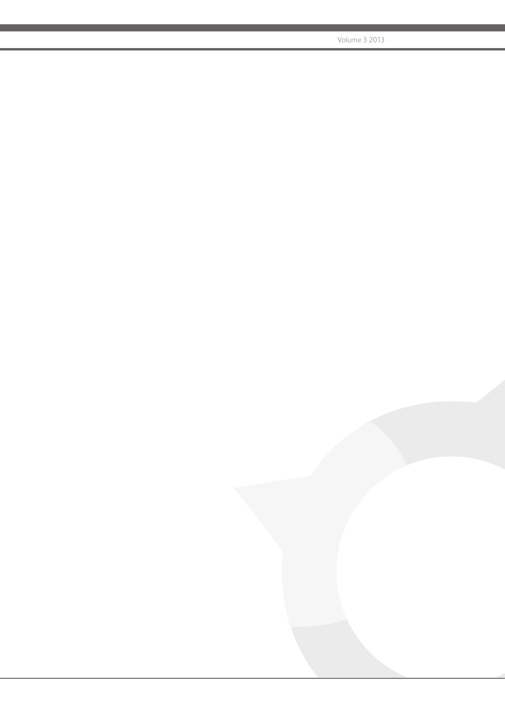Volume 3 2013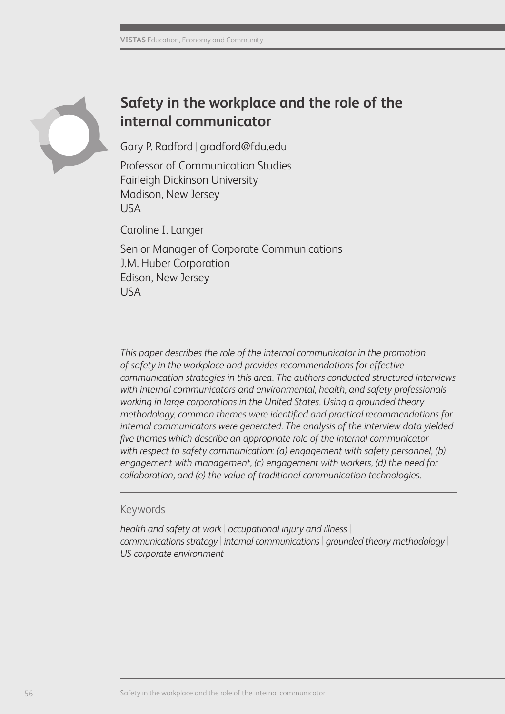

# **Safety in the workplace and the role of the internal communicator**

Gary P. Radford | gradford@fdu.edu

Professor of Communication Studies Fairleigh Dickinson University Madison, New Jersey USA

Caroline I. Langer

Senior Manager of Corporate Communications J.M. Huber Corporation Edison, New Jersey USA

*This paper describes the role of the internal communicator in the promotion of safety in the workplace and provides recommendations for effective communication strategies in this area. The authors conducted structured interviews with internal communicators and environmental, health, and safety professionals working in large corporations in the United States. Using a grounded theory methodology, common themes were identified and practical recommendations for internal communicators were generated. The analysis of the interview data yielded five themes which describe an appropriate role of the internal communicator with respect to safety communication: (a) engagement with safety personnel, (b) engagement with management, (c) engagement with workers, (d) the need for collaboration, and (e) the value of traditional communication technologies.*

Keywords

*health and safety at work* | *occupational injury and illness* | *communications strategy* | *internal communications* | *grounded theory methodology* | *US corporate environment*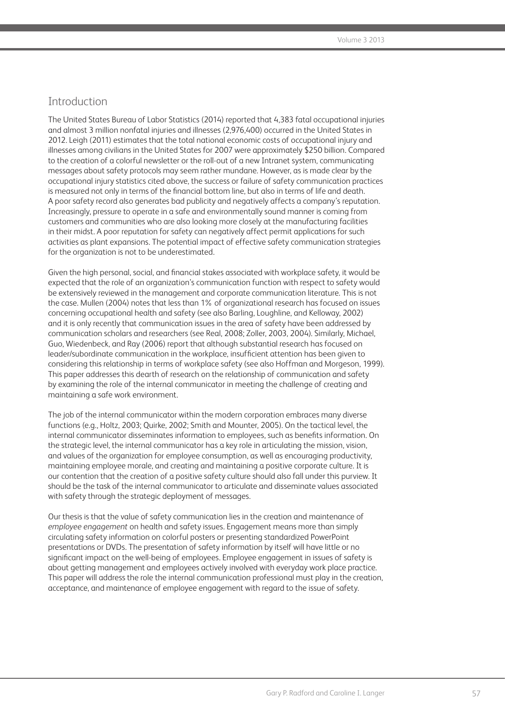# Introduction

The United States Bureau of Labor Statistics (2014) reported that 4,383 fatal occupational injuries and almost 3 million nonfatal injuries and illnesses (2,976,400) occurred in the United States in 2012. Leigh (2011) estimates that the total national economic costs of occupational injury and illnesses among civilians in the United States for 2007 were approximately \$250 billion. Compared to the creation of a colorful newsletter or the roll-out of a new Intranet system, communicating messages about safety protocols may seem rather mundane. However, as is made clear by the occupational injury statistics cited above, the success or failure of safety communication practices is measured not only in terms of the financial bottom line, but also in terms of life and death. A poor safety record also generates bad publicity and negatively affects a company's reputation. Increasingly, pressure to operate in a safe and environmentally sound manner is coming from customers and communities who are also looking more closely at the manufacturing facilities in their midst. A poor reputation for safety can negatively affect permit applications for such activities as plant expansions. The potential impact of effective safety communication strategies for the organization is not to be underestimated.

Given the high personal, social, and financial stakes associated with workplace safety, it would be expected that the role of an organization's communication function with respect to safety would be extensively reviewed in the management and corporate communication literature. This is not the case. Mullen (2004) notes that less than 1% of organizational research has focused on issues concerning occupational health and safety (see also Barling, Loughline, and Kelloway, 2002) and it is only recently that communication issues in the area of safety have been addressed by communication scholars and researchers (see Real, 2008; Zoller, 2003, 2004). Similarly, Michael, Guo, Wiedenbeck, and Ray (2006) report that although substantial research has focused on leader/subordinate communication in the workplace, insufficient attention has been given to considering this relationship in terms of workplace safety (see also Hoffman and Morgeson, 1999). This paper addresses this dearth of research on the relationship of communication and safety by examining the role of the internal communicator in meeting the challenge of creating and maintaining a safe work environment.

The job of the internal communicator within the modern corporation embraces many diverse functions (e.g., Holtz, 2003; Quirke, 2002; Smith and Mounter, 2005). On the tactical level, the internal communicator disseminates information to employees, such as benefits information. On the strategic level, the internal communicator has a key role in articulating the mission, vision, and values of the organization for employee consumption, as well as encouraging productivity, maintaining employee morale, and creating and maintaining a positive corporate culture. It is our contention that the creation of a positive safety culture should also fall under this purview. It should be the task of the internal communicator to articulate and disseminate values associated with safety through the strategic deployment of messages.

Our thesis is that the value of safety communication lies in the creation and maintenance of *employee engagement* on health and safety issues. Engagement means more than simply circulating safety information on colorful posters or presenting standardized PowerPoint presentations or DVDs. The presentation of safety information by itself will have little or no significant impact on the well-being of employees. Employee engagement in issues of safety is about getting management and employees actively involved with everyday work place practice. This paper will address the role the internal communication professional must play in the creation, acceptance, and maintenance of employee engagement with regard to the issue of safety.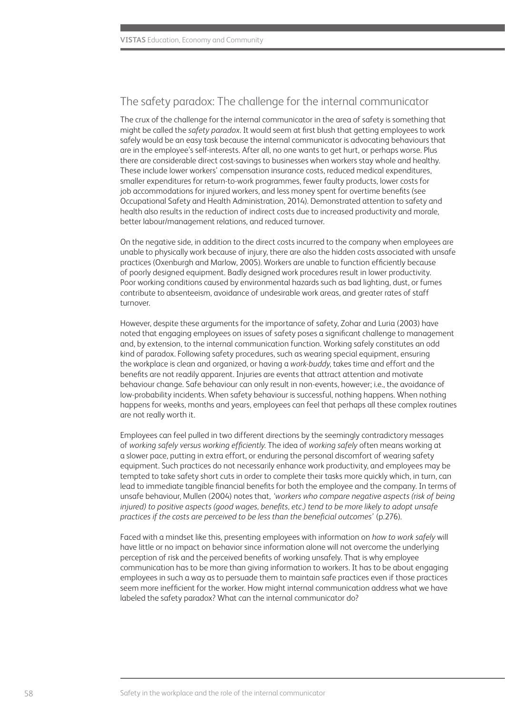# The safety paradox: The challenge for the internal communicator

The crux of the challenge for the internal communicator in the area of safety is something that might be called the *safety paradox*. It would seem at first blush that getting employees to work safely would be an easy task because the internal communicator is advocating behaviours that are in the employee's self-interests. After all, no one wants to get hurt, or perhaps worse. Plus there are considerable direct cost-savings to businesses when workers stay whole and healthy. These include lower workers' compensation insurance costs, reduced medical expenditures, smaller expenditures for return-to-work programmes, fewer faulty products, lower costs for job accommodations for injured workers, and less money spent for overtime benefits (see Occupational Safety and Health Administration, 2014). Demonstrated attention to safety and health also results in the reduction of indirect costs due to increased productivity and morale, better labour/management relations, and reduced turnover.

On the negative side, in addition to the direct costs incurred to the company when employees are unable to physically work because of injury, there are also the hidden costs associated with unsafe practices (Oxenburgh and Marlow, 2005). Workers are unable to function efficiently because of poorly designed equipment. Badly designed work procedures result in lower productivity. Poor working conditions caused by environmental hazards such as bad lighting, dust, or fumes contribute to absenteeism, avoidance of undesirable work areas, and greater rates of staff turnover.

However, despite these arguments for the importance of safety, Zohar and Luria (2003) have noted that engaging employees on issues of safety poses a significant challenge to management and, by extension, to the internal communication function. Working safely constitutes an odd kind of paradox. Following safety procedures, such as wearing special equipment, ensuring the workplace is clean and organized, or having a *work-buddy*, takes time and effort and the benefits are not readily apparent. Injuries are events that attract attention and motivate behaviour change. Safe behaviour can only result in non-events, however; i.e., the avoidance of low-probability incidents. When safety behaviour is successful, nothing happens. When nothing happens for weeks, months and years, employees can feel that perhaps all these complex routines are not really worth it.

Employees can feel pulled in two different directions by the seemingly contradictory messages of *working safely versus working efficiently*. The idea of *working safely* often means working at a slower pace, putting in extra effort, or enduring the personal discomfort of wearing safety equipment. Such practices do not necessarily enhance work productivity, and employees may be tempted to take safety short cuts in order to complete their tasks more quickly which, in turn, can lead to immediate tangible financial benefits for both the employee and the company. In terms of unsafe behaviour, Mullen (2004) notes that, *'workers who compare negative aspects (risk of being injured) to positive aspects (good wages, benefits, etc.) tend to be more likely to adopt unsafe practices if the costs are perceived to be less than the beneficial outcomes'* (p.276).

Faced with a mindset like this, presenting employees with information on *how to work safely* will have little or no impact on behavior since information alone will not overcome the underlying perception of risk and the perceived benefits of working unsafely. That is why employee communication has to be more than giving information to workers. It has to be about engaging employees in such a way as to persuade them to maintain safe practices even if those practices seem more inefficient for the worker. How might internal communication address what we have labeled the safety paradox? What can the internal communicator do?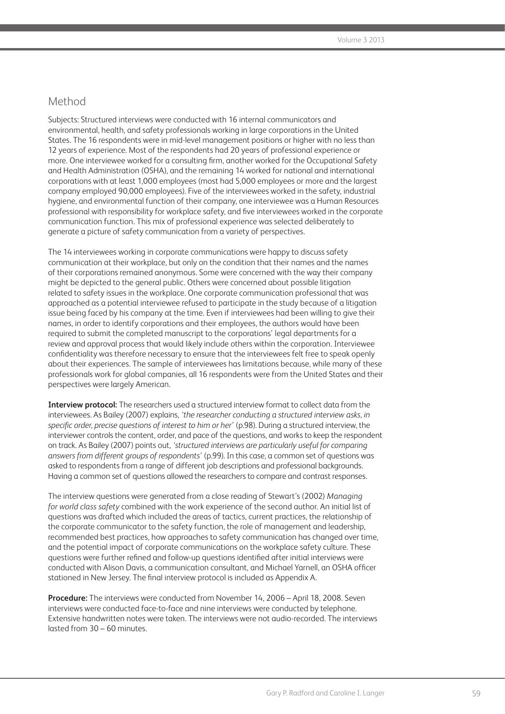# Method

Subjects: Structured interviews were conducted with 16 internal communicators and environmental, health, and safety professionals working in large corporations in the United States. The 16 respondents were in mid-level management positions or higher with no less than 12 years of experience. Most of the respondents had 20 years of professional experience or more. One interviewee worked for a consulting firm, another worked for the Occupational Safety and Health Administration (OSHA), and the remaining 14 worked for national and international corporations with at least 1,000 employees (most had 5,000 employees or more and the largest company employed 90,000 employees). Five of the interviewees worked in the safety, industrial hygiene, and environmental function of their company, one interviewee was a Human Resources professional with responsibility for workplace safety, and five interviewees worked in the corporate communication function. This mix of professional experience was selected deliberately to generate a picture of safety communication from a variety of perspectives.

The 14 interviewees working in corporate communications were happy to discuss safety communication at their workplace, but only on the condition that their names and the names of their corporations remained anonymous. Some were concerned with the way their company might be depicted to the general public. Others were concerned about possible litigation related to safety issues in the workplace. One corporate communication professional that was approached as a potential interviewee refused to participate in the study because of a litigation issue being faced by his company at the time. Even if interviewees had been willing to give their names, in order to identify corporations and their employees, the authors would have been required to submit the completed manuscript to the corporations' legal departments for a review and approval process that would likely include others within the corporation. Interviewee confidentiality was therefore necessary to ensure that the interviewees felt free to speak openly about their experiences. The sample of interviewees has limitations because, while many of these professionals work for global companies, all 16 respondents were from the United States and their perspectives were largely American.

**Interview protocol:** The researchers used a structured interview format to collect data from the interviewees. As Bailey (2007) explains, *'the researcher conducting a structured interview asks, in specific order, precise questions of interest to him or her'* (p.98). During a structured interview, the interviewer controls the content, order, and pace of the questions, and works to keep the respondent on track. As Bailey (2007) points out, *'structured interviews are particularly useful for comparing answers from different groups of respondents'* (p.99). In this case, a common set of questions was asked to respondents from a range of different job descriptions and professional backgrounds. Having a common set of questions allowed the researchers to compare and contrast responses.

The interview questions were generated from a close reading of Stewart's (2002) *Managing for world class safety* combined with the work experience of the second author. An initial list of questions was drafted which included the areas of tactics, current practices, the relationship of the corporate communicator to the safety function, the role of management and leadership, recommended best practices, how approaches to safety communication has changed over time, and the potential impact of corporate communications on the workplace safety culture. These questions were further refined and follow-up questions identified after initial interviews were conducted with Alison Davis, a communication consultant, and Michael Yarnell, an OSHA officer stationed in New Jersey. The final interview protocol is included as Appendix A.

**Procedure:** The interviews were conducted from November 14, 2006 – April 18, 2008. Seven interviews were conducted face-to-face and nine interviews were conducted by telephone. Extensive handwritten notes were taken. The interviews were not audio-recorded. The interviews lasted from 30 – 60 minutes.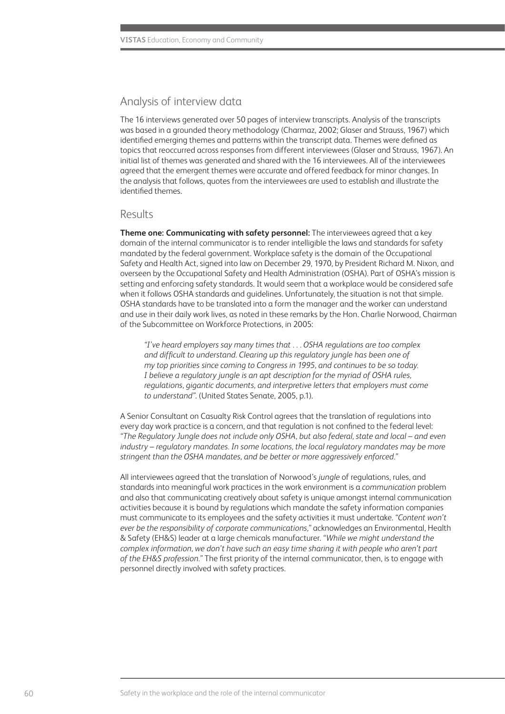### Analysis of interview data

The 16 interviews generated over 50 pages of interview transcripts. Analysis of the transcripts was based in a grounded theory methodology (Charmaz, 2002; Glaser and Strauss, 1967) which identified emerging themes and patterns within the transcript data. Themes were defined as topics that reoccurred across responses from different interviewees (Glaser and Strauss, 1967). An initial list of themes was generated and shared with the 16 interviewees. All of the interviewees agreed that the emergent themes were accurate and offered feedback for minor changes. In the analysis that follows, quotes from the interviewees are used to establish and illustrate the identified themes.

#### Results

**Theme one: Communicating with safety personnel:** The interviewees agreed that a key domain of the internal communicator is to render intelligible the laws and standards for safety mandated by the federal government. Workplace safety is the domain of the Occupational Safety and Health Act, signed into law on December 29, 1970, by President Richard M. Nixon, and overseen by the Occupational Safety and Health Administration (OSHA). Part of OSHA's mission is setting and enforcing safety standards. It would seem that a workplace would be considered safe when it follows OSHA standards and guidelines. Unfortunately, the situation is not that simple. OSHA standards have to be translated into a form the manager and the worker can understand and use in their daily work lives, as noted in these remarks by the Hon. Charlie Norwood, Chairman of the Subcommittee on Workforce Protections, in 2005:

*"I've heard employers say many times that . . . OSHA regulations are too complex and difficult to understand. Clearing up this regulatory jungle has been one of my top priorities since coming to Congress in 1995, and continues to be so today. I believe a regulatory jungle is an apt description for the myriad of OSHA rules, regulations, gigantic documents, and interpretive letters that employers must come to understand"*. (United States Senate, 2005, p.1).

A Senior Consultant on Casualty Risk Control agrees that the translation of regulations into every day work practice is a concern, and that regulation is not confined to the federal level: *"The Regulatory Jungle does not include only OSHA, but also federal, state and local – and even industry – regulatory mandates. In some locations, the local regulatory mandates may be more stringent than the OSHA mandates, and be better or more aggressively enforced."*

All interviewees agreed that the translation of Norwood's *jungle* of regulations, rules, and standards into meaningful work practices in the work environment is a *communication* problem and also that communicating creatively about safety is unique amongst internal communication activities because it is bound by regulations which mandate the safety information companies must communicate to its employees and the safety activities it must undertake. *"Content won't ever be the responsibility of corporate communications,"* acknowledges an Environmental, Health & Safety (EH&S) leader at a large chemicals manufacturer. *"While we might understand the complex information, we don't have such an easy time sharing it with people who aren't part of the EH&S profession."* The first priority of the internal communicator, then, is to engage with personnel directly involved with safety practices.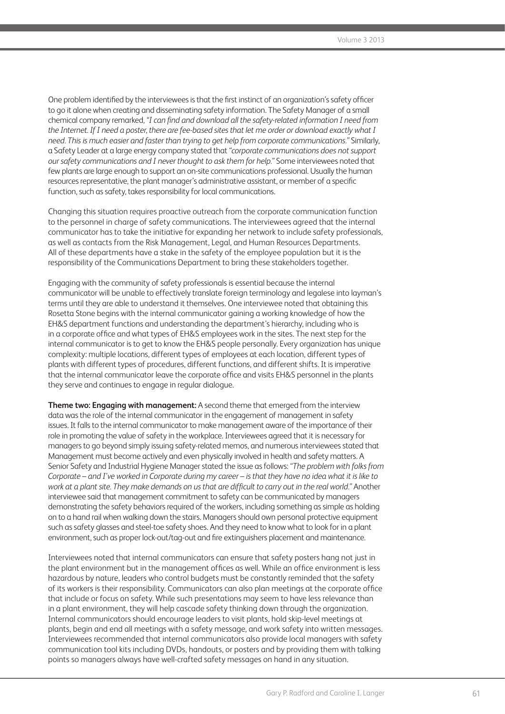One problem identified by the interviewees is that the first instinct of an organization's safety officer to go it alone when creating and disseminating safety information. The Safety Manager of a small chemical company remarked, *"I can find and download all the safety-related information I need from the Internet. If I need a poster, there are fee-based sites that let me order or download exactly what I need. This is much easier and faster than trying to get help from corporate communications."* Similarly, a Safety Leader at a large energy company stated that *"corporate communications does not support our safety communications and I never thought to ask them for help."* Some interviewees noted that few plants are large enough to support an on-site communications professional. Usually the human resources representative, the plant manager's administrative assistant, or member of a specific function, such as safety, takes responsibility for local communications.

Changing this situation requires proactive outreach from the corporate communication function to the personnel in charge of safety communications. The interviewees agreed that the internal communicator has to take the initiative for expanding her network to include safety professionals, as well as contacts from the Risk Management, Legal, and Human Resources Departments. All of these departments have a stake in the safety of the employee population but it is the responsibility of the Communications Department to bring these stakeholders together.

Engaging with the community of safety professionals is essential because the internal communicator will be unable to effectively translate foreign terminology and legalese into layman's terms until they are able to understand it themselves. One interviewee noted that obtaining this Rosetta Stone begins with the internal communicator gaining a working knowledge of how the EH&S department functions and understanding the department's hierarchy, including who is in a corporate office and what types of EH&S employees work in the sites. The next step for the internal communicator is to get to know the EH&S people personally. Every organization has unique complexity: multiple locations, different types of employees at each location, different types of plants with different types of procedures, different functions, and different shifts. It is imperative that the internal communicator leave the corporate office and visits EH&S personnel in the plants they serve and continues to engage in regular dialogue.

**Theme two: Engaging with management:** A second theme that emerged from the interview data was the role of the internal communicator in the engagement of management in safety issues. It falls to the internal communicator to make management aware of the importance of their role in promoting the value of safety in the workplace. Interviewees agreed that it is necessary for managers to go beyond simply issuing safety-related memos, and numerous interviewees stated that Management must become actively and even physically involved in health and safety matters. A Senior Safety and Industrial Hygiene Manager stated the issue as follows: *"The problem with folks from Corporate – and I've worked in Corporate during my career – is that they have no idea what it is like to work at a plant site. They make demands on us that are difficult to carry out in the real world."* Another interviewee said that management commitment to safety can be communicated by managers demonstrating the safety behaviors required of the workers, including something as simple as holding on to a hand rail when walking down the stairs. Managers should own personal protective equipment such as safety glasses and steel-toe safety shoes. And they need to know what to look for in a plant environment, such as proper lock-out/tag-out and fire extinguishers placement and maintenance.

Interviewees noted that internal communicators can ensure that safety posters hang not just in the plant environment but in the management offices as well. While an office environment is less hazardous by nature, leaders who control budgets must be constantly reminded that the safety of its workers is their responsibility. Communicators can also plan meetings at the corporate office that include or focus on safety. While such presentations may seem to have less relevance than in a plant environment, they will help cascade safety thinking down through the organization. Internal communicators should encourage leaders to visit plants, hold skip-level meetings at plants, begin and end all meetings with a safety message, and work safety into written messages. Interviewees recommended that internal communicators also provide local managers with safety communication tool kits including DVDs, handouts, or posters and by providing them with talking points so managers always have well-crafted safety messages on hand in any situation.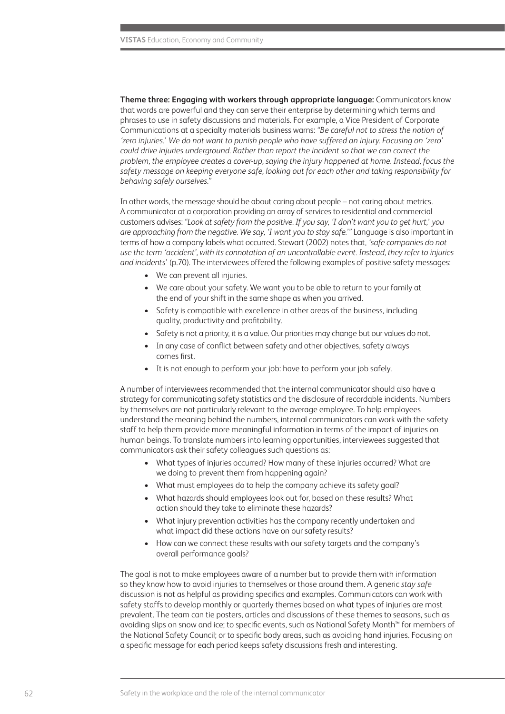**Theme three: Engaging with workers through appropriate language:** Communicators know that words are powerful and they can serve their enterprise by determining which terms and phrases to use in safety discussions and materials. For example, a Vice President of Corporate Communications at a specialty materials business warns: *"Be careful not to stress the notion of 'zero injuries.' We do not want to punish people who have suffered an injury. Focusing on 'zero' could drive injuries underground. Rather than report the incident so that we can correct the problem, the employee creates a cover-up, saying the injury happened at home. Instead, focus the safety message on keeping everyone safe, looking out for each other and taking responsibility for behaving safely ourselves."* 

In other words, the message should be about caring about people – not caring about metrics. A communicator at a corporation providing an array of services to residential and commercial customers advises: *"Look at safety from the positive. If you say, 'I don't want you to get hurt,' you are approaching from the negative. We say, 'I want you to stay safe.'"* Language is also important in terms of how a company labels what occurred. Stewart (2002) notes that, *'safe companies do not use the term 'accident', with its connotation of an uncontrollable event. Instead, they refer to injuries and incidents'* (p.70). The interviewees offered the following examples of positive safety messages:

- We can prevent all injuries.
- We care about your safety. We want you to be able to return to your family at the end of your shift in the same shape as when you arrived.
- Safety is compatible with excellence in other areas of the business, including quality, productivity and profitability.
- Safety is not a priority, it is a value. Our priorities may change but our values do not.
- In any case of conflict between safety and other objectives, safety always comes first.
- It is not enough to perform your job: have to perform your job safely.

A number of interviewees recommended that the internal communicator should also have a strategy for communicating safety statistics and the disclosure of recordable incidents. Numbers by themselves are not particularly relevant to the average employee. To help employees understand the meaning behind the numbers, internal communicators can work with the safety staff to help them provide more meaningful information in terms of the impact of injuries on human beings. To translate numbers into learning opportunities, interviewees suggested that communicators ask their safety colleagues such questions as:

- What types of injuries occurred? How many of these injuries occurred? What are we doing to prevent them from happening again?
- What must employees do to help the company achieve its safety goal?
- What hazards should employees look out for, based on these results? What action should they take to eliminate these hazards?
- What injury prevention activities has the company recently undertaken and what impact did these actions have on our safety results?
- How can we connect these results with our safety targets and the company's overall performance goals?

The goal is not to make employees aware of a number but to provide them with information so they know how to avoid injuries to themselves or those around them. A generic *stay safe* discussion is not as helpful as providing specifics and examples. Communicators can work with safety staffs to develop monthly or quarterly themes based on what types of injuries are most prevalent. The team can tie posters, articles and discussions of these themes to seasons, such as avoiding slips on snow and ice; to specific events, such as National Safety Month™ for members of the National Safety Council; or to specific body areas, such as avoiding hand injuries. Focusing on a specific message for each period keeps safety discussions fresh and interesting.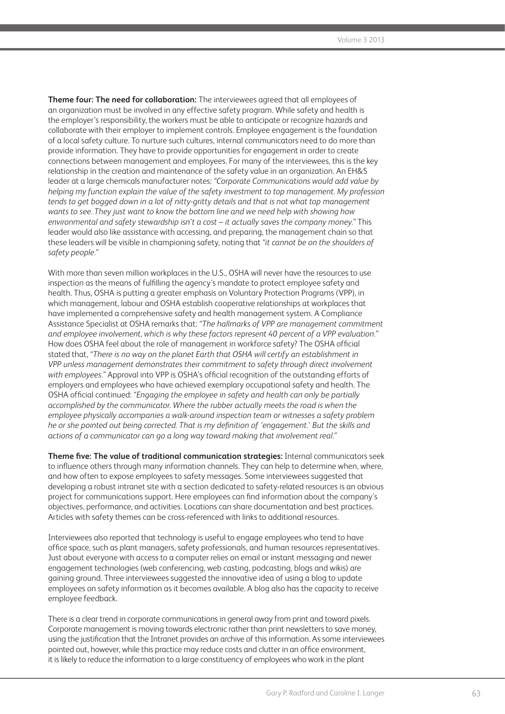**Theme four: The need for collaboration:** The interviewees agreed that all employees of an organization must be involved in any effective safety program. While safety and health is the employer's responsibility, the workers must be able to anticipate or recognize hazards and collaborate with their employer to implement controls. Employee engagement is the foundation of a local safety culture. To nurture such cultures, internal communicators need to do more than provide information. They have to provide opportunities for engagement in order to create connections between management and employees. For many of the interviewees, this is the key relationship in the creation and maintenance of the safety value in an organization. An EH&S leader at a large chemicals manufacturer notes: *"Corporate Communications would add value by helping my function explain the value of the safety investment to top management. My profession tends to get bogged down in a lot of nitty-gritty details and that is not what top management wants to see. They just want to know the bottom line and we need help with showing how environmental and safety stewardship isn't a cost – it actually saves the company money."* This leader would also like assistance with accessing, and preparing, the management chain so that these leaders will be visible in championing safety, noting that *"it cannot be on the shoulders of safety people."*

With more than seven million workplaces in the U.S., OSHA will never have the resources to use inspection as the means of fulfilling the agency's mandate to protect employee safety and health. Thus, OSHA is putting a greater emphasis on Voluntary Protection Programs (VPP), in which management, labour and OSHA establish cooperative relationships at workplaces that have implemented a comprehensive safety and health management system. A Compliance Assistance Specialist at OSHA remarks that: *"The hallmarks of VPP are management commitment and employee involvement, which is why these factors represent 40 percent of a VPP evaluation."* How does OSHA feel about the role of management in workforce safety? The OSHA official stated that, *"There is no way on the planet Earth that OSHA will certify an establishment in VPP unless management demonstrates their commitment to safety through direct involvement with employees."* Approval into VPP is OSHA's official recognition of the outstanding efforts of employers and employees who have achieved exemplary occupational safety and health. The OSHA official continued: *"Engaging the employee in safety and health can only be partially accomplished by the communicator. Where the rubber actually meets the road is when the employee physically accompanies a walk-around inspection team or witnesses a safety problem he or she pointed out being corrected. That is my definition of 'engagement.' But the skills and actions of a communicator can go a long way toward making that involvement real."*

**Theme five: The value of traditional communication strategies:** Internal communicators seek to influence others through many information channels. They can help to determine when, where, and how often to expose employees to safety messages. Some interviewees suggested that developing a robust intranet site with a section dedicated to safety-related resources is an obvious project for communications support. Here employees can find information about the company's objectives, performance, and activities. Locations can share documentation and best practices. Articles with safety themes can be cross-referenced with links to additional resources.

Interviewees also reported that technology is useful to engage employees who tend to have office space, such as plant managers, safety professionals, and human resources representatives. Just about everyone with access to a computer relies on email or instant messaging and newer engagement technologies (web conferencing, web casting, podcasting, blogs and wikis) are gaining ground. Three interviewees suggested the innovative idea of using a blog to update employees on safety information as it becomes available. A blog also has the capacity to receive employee feedback.

There is a clear trend in corporate communications in general away from print and toward pixels. Corporate management is moving towards electronic rather than print newsletters to save money, using the justification that the Intranet provides an archive of this information. As some interviewees pointed out, however, while this practice may reduce costs and clutter in an office environment, it is likely to reduce the information to a large constituency of employees who work in the plant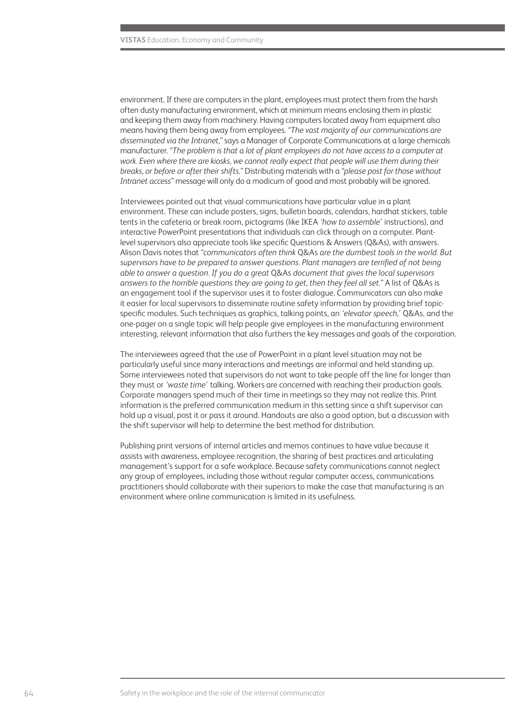environment. If there are computers in the plant, employees must protect them from the harsh often dusty manufacturing environment, which at minimum means enclosing them in plastic and keeping them away from machinery. Having computers located away from equipment also means having them being away from employees. *"The vast majority of our communications are disseminated via the Intranet,"* says a Manager of Corporate Communications at a large chemicals manufacturer. *"The problem is that a lot of plant employees do not have access to a computer at*  work. Even where there are kiosks, we cannot really expect that people will use them during their *breaks, or before or after their shifts."* Distributing materials with a *"please post for those without Intranet access"* message will only do a modicum of good and most probably will be ignored.

Interviewees pointed out that visual communications have particular value in a plant environment. These can include posters, signs, bulletin boards, calendars, hardhat stickers, table tents in the cafeteria or break room, pictograms (like IKEA *'how to assemble'* instructions), and interactive PowerPoint presentations that individuals can click through on a computer. Plantlevel supervisors also appreciate tools like specific Questions & Answers (Q&As), with answers. Alison Davis notes that *"communicators often think* Q&As *are the dumbest tools in the world. But supervisors have to be prepared to answer questions. Plant managers are terrified of not being able to answer a question. If you do a great* Q&As *document that gives the local supervisors answers to the horrible questions they are going to get, then they feel all set."* A list of Q&As is an engagement tool if the supervisor uses it to foster dialogue. Communicators can also make it easier for local supervisors to disseminate routine safety information by providing brief topicspecific modules. Such techniques as graphics, talking points, an *'elevator speech,'* Q&As, and the one-pager on a single topic will help people give employees in the manufacturing environment interesting, relevant information that also furthers the key messages and goals of the corporation.

The interviewees agreed that the use of PowerPoint in a plant level situation may not be particularly useful since many interactions and meetings are informal and held standing up. Some interviewees noted that supervisors do not want to take people off the line for longer than they must or *'waste time'* talking. Workers are concerned with reaching their production goals. Corporate managers spend much of their time in meetings so they may not realize this. Print information is the preferred communication medium in this setting since a shift supervisor can hold up a visual, post it or pass it around. Handouts are also a good option, but a discussion with the shift supervisor will help to determine the best method for distribution.

Publishing print versions of internal articles and memos continues to have value because it assists with awareness, employee recognition, the sharing of best practices and articulating management's support for a safe workplace. Because safety communications cannot neglect any group of employees, including those without regular computer access, communications practitioners should collaborate with their superiors to make the case that manufacturing is an environment where online communication is limited in its usefulness.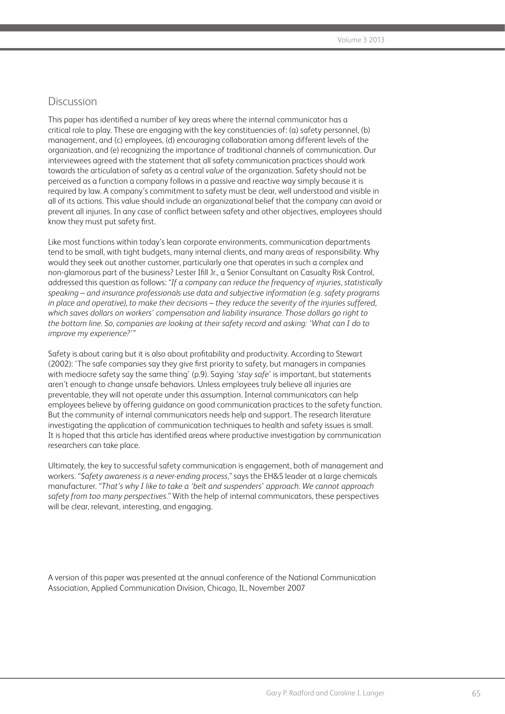# Discussion

This paper has identified a number of key areas where the internal communicator has a critical role to play. These are engaging with the key constituencies of: (a) safety personnel, (b) management, and (c) employees, (d) encouraging collaboration among different levels of the organization, and (e) recognizing the importance of traditional channels of communication. Our interviewees agreed with the statement that all safety communication practices should work towards the articulation of safety as a central *value* of the organization. Safety should not be perceived as a function a company follows in a passive and reactive way simply because it is required by law. A company's commitment to safety must be clear, well understood and visible in all of its actions. This value should include an organizational belief that the company can avoid or prevent all injuries. In any case of conflict between safety and other objectives, employees should know they must put safety first.

Like most functions within today's lean corporate environments, communication departments tend to be small, with tight budgets, many internal clients, and many areas of responsibility. Why would they seek out another customer, particularly one that operates in such a complex and non-glamorous part of the business? Lester Ifill Jr., a Senior Consultant on Casualty Risk Control, addressed this question as follows: *"If a company can reduce the frequency of injuries, statistically speaking – and insurance professionals use data and subjective information (e.g. safety programs in place and operative), to make their decisions – they reduce the severity of the injuries suffered, which saves dollars on workers' compensation and liability insurance. Those dollars go right to the bottom line. So, companies are looking at their safety record and asking: 'What can I do to improve my experience?'"*

Safety is about caring but it is also about profitability and productivity. According to Stewart (2002): 'The safe companies say they give first priority to safety, but managers in companies with mediocre safety say the same thing' (p.9). Saying *'stay safe'* is important, but statements aren't enough to change unsafe behaviors. Unless employees truly believe all injuries are preventable, they will not operate under this assumption. Internal communicators can help employees believe by offering guidance on good communication practices to the safety function. But the community of internal communicators needs help and support. The research literature investigating the application of communication techniques to health and safety issues is small. It is hoped that this article has identified areas where productive investigation by communication researchers can take place.

Ultimately, the key to successful safety communication is engagement, both of management and workers. *"Safety awareness is a never-ending process,"* says the EH&S leader at a large chemicals manufacturer. *"That's why I like to take a 'belt and suspenders' approach. We cannot approach safety from too many perspectives."* With the help of internal communicators, these perspectives will be clear, relevant, interesting, and engaging.

A version of this paper was presented at the annual conference of the National Communication Association, Applied Communication Division, Chicago, IL, November 2007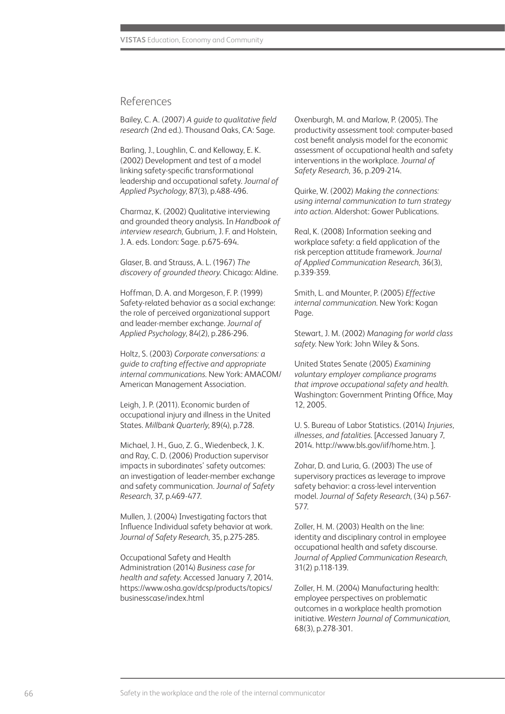#### References

Bailey, C. A. (2007) *A guide to qualitative field research* (2nd ed.). Thousand Oaks, CA: Sage.

Barling, J., Loughlin, C. and Kelloway, E. K. (2002) Development and test of a model linking safety-specific transformational leadership and occupational safety. *Journal of Applied Psychology*, 87(3), p.488-496.

Charmaz, K. (2002) Qualitative interviewing and grounded theory analysis. In *Handbook of interview research*, Gubrium, J. F. and Holstein, J. A. eds. London: Sage. p.675-694.

Glaser, B. and Strauss, A. L. (1967) *The discovery of grounded theory*. Chicago: Aldine.

Hoffman, D. A. and Morgeson, F. P. (1999) Safety-related behavior as a social exchange: the role of perceived organizational support and leader-member exchange. *Journal of Applied Psychology*, 84(2), p.286-296.

Holtz, S. (2003) *Corporate conversations: a guide to crafting effective and appropriate internal communications*. New York: AMACOM/ American Management Association.

Leigh, J. P. (2011). Economic burden of occupational injury and illness in the United States. *Millbank Quarterly*, 89(4), p.728.

Michael, J. H., Guo, Z. G., Wiedenbeck, J. K. and Ray, C. D. (2006) Production supervisor impacts in subordinates' safety outcomes: an investigation of leader-member exchange and safety communication. *Journal of Safety Research*, 37, p.469-477.

Mullen, J. (2004) Investigating factors that Influence Individual safety behavior at work. *Journal of Safety Research*, 35, p.275-285.

Occupational Safety and Health Administration (2014) *Business case for health and safety*. Accessed January 7, 2014. https://www.osha.gov/dcsp/products/topics/ businesscase/index.html

Oxenburgh, M. and Marlow, P. (2005). The productivity assessment tool: computer-based cost benefit analysis model for the economic assessment of occupational health and safety interventions in the workplace. *Journal of Safety Research*, 36, p.209-214.

Quirke, W. (2002) *Making the connections: using internal communication to turn strategy into action*. Aldershot: Gower Publications.

Real, K. (2008) Information seeking and workplace safety: a field application of the risk perception attitude framework. *Journal of Applied Communication Research*, 36(3), p.339-359.

Smith, L. and Mounter, P. (2005) *Effective internal communication*. New York: Kogan Page.

Stewart, J. M. (2002) *Managing for world class safety*. New York: John Wiley & Sons.

United States Senate (2005) *Examining voluntary employer compliance programs that improve occupational safety and health*. Washington: Government Printing Office, May 12, 2005.

U. S. Bureau of Labor Statistics. (2014) *Injuries, illnesses, and fatalities*. [Accessed January 7, 2014. http://www.bls.gov/iif/home.htm. ].

Zohar, D. and Luria, G. (2003) The use of supervisory practices as leverage to improve safety behavior: a cross-level intervention model. *Journal of Safety Research*, (34) p.567- 577.

Zoller, H. M. (2003) Health on the line: identity and disciplinary control in employee occupational health and safety discourse. *Journal of Applied Communication Research*, 31(2) p.118-139.

Zoller, H. M. (2004) Manufacturing health: employee perspectives on problematic outcomes in a workplace health promotion initiative. *Western Journal of Communication*, 68(3), p.278-301.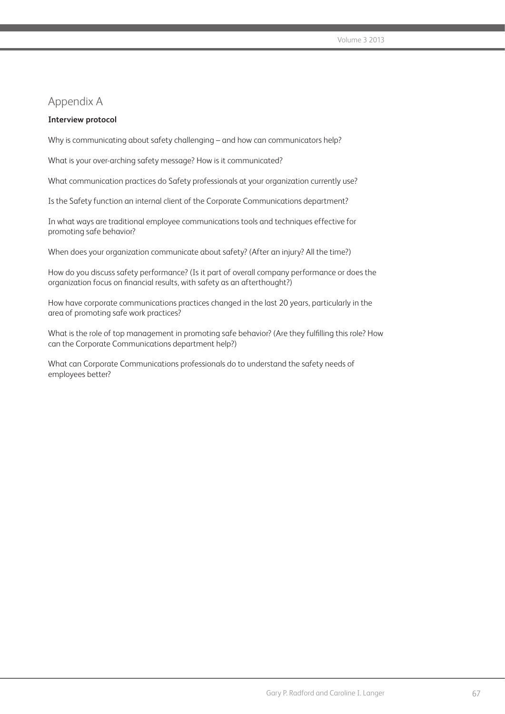# Appendix A

#### **Interview protocol**

Why is communicating about safety challenging – and how can communicators help?

What is your over-arching safety message? How is it communicated?

What communication practices do Safety professionals at your organization currently use?

Is the Safety function an internal client of the Corporate Communications department?

In what ways are traditional employee communications tools and techniques effective for promoting safe behavior?

When does your organization communicate about safety? (After an injury? All the time?)

How do you discuss safety performance? (Is it part of overall company performance or does the organization focus on financial results, with safety as an afterthought?)

How have corporate communications practices changed in the last 20 years, particularly in the area of promoting safe work practices?

What is the role of top management in promoting safe behavior? (Are they fulfilling this role? How can the Corporate Communications department help?)

What can Corporate Communications professionals do to understand the safety needs of employees better?